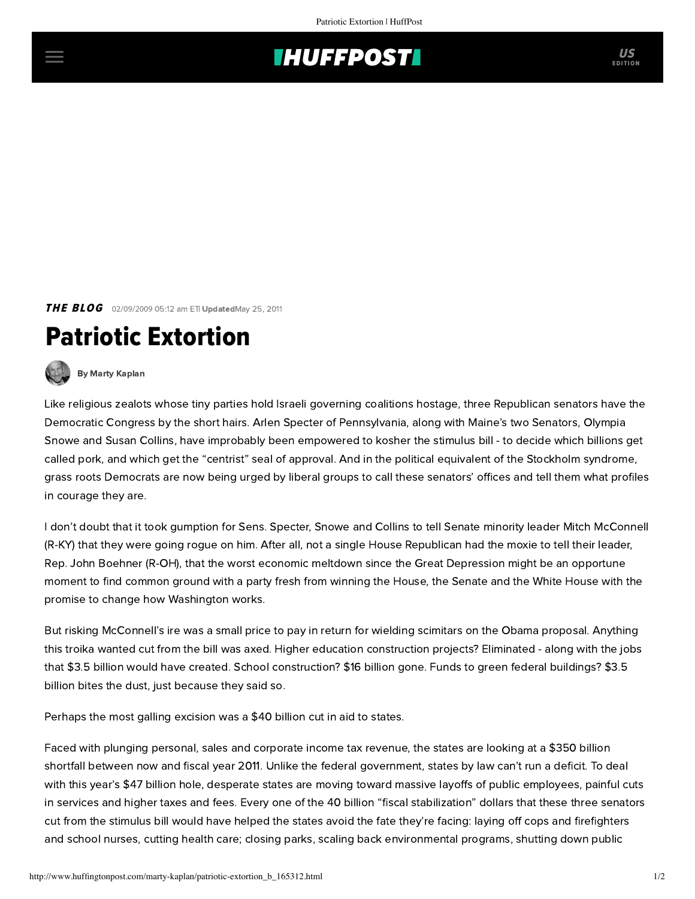## **IHUFFPOSTI** US

**THE BLOG** 02/09/2009 05:12 am ETI UpdatedMay 25, 2011

## Patriotic Extortion



[By Marty Kaplan](http://www.huffingtonpost.com/author/marty-kaplan)

Like religious zealots whose tiny parties hold Israeli governing coalitions hostage, three Republican senators have the Democratic Congress by the short hairs. Arlen Specter of Pennsylvania, along with Maine's two Senators, Olympia Snowe and Susan Collins, have improbably been empowered to kosher the stimulus bill - to decide which billions get called pork, and which get the "centrist" seal of approval. And in the political equivalent of the Stockholm syndrome, grass roots Democrats are now being [urged by liberal groups](http://hotlineoncall.nationaljournal.com/archives/2009/02/advance_gratitu.php) to call these senators' offices and tell them what profiles in courage they are.

I don't doubt that it took gumption for Sens. Specter, Snowe and Collins to tell Senate minority leader Mitch McConnell (R-KY) that they were going rogue on him. After all, not a single House Republican had the moxie to tell their leader, Rep. John Boehner (R-OH), that the worst economic meltdown since the Great Depression might be an opportune moment to find common ground with a party fresh from winning the House, the Senate and the White House with the promise to change how Washington works.

But risking McConnell's ire was a small price to pay in return for wielding scimitars on the Obama proposal. Anything this troika wanted cut from the bill was axed. Higher education construction projects? Eliminated - along with the jobs that \$3.5 billion would have created. School construction? \$16 billion gone. Funds to green federal buildings? \$3.5 billion bites the dust, just because they said so.

Perhaps the most galling excision was a \$40 billion cut in aid to states.

Faced with plunging personal, sales and corporate income tax revenue, the states are looking at a \$350 billion shortfall between now and fiscal year 2011. Unlike the federal government, states by law can't run a deficit. To deal with this year's \$47 billion hole, [desperate states](http://www.latimes.com/news/nationworld/nation/la-na-statecuts8-2009feb08,0,2156015.story) are moving toward massive layoffs of public employees, painful cuts in services and higher taxes and fees. Every one of the 40 billion "fiscal stabilization" dollars that these three senators cut from the stimulus bill would have helped the states avoid the fate they're facing: laying off cops and firefighters and school nurses, cutting health care; closing parks, scaling back environmental programs, shutting down public